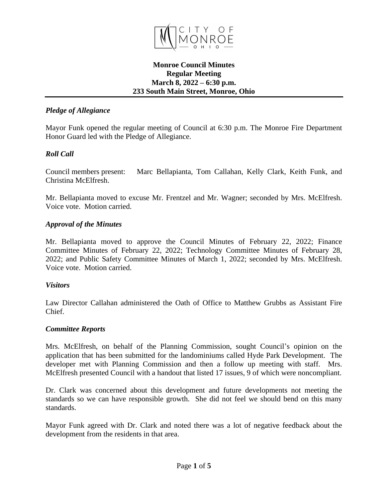

### **Monroe Council Minutes Regular Meeting March 8, 2022 – 6:30 p.m. 233 South Main Street, Monroe, Ohio**

## *Pledge of Allegiance*

Mayor Funk opened the regular meeting of Council at 6:30 p.m. The Monroe Fire Department Honor Guard led with the Pledge of Allegiance.

### *Roll Call*

Council members present: Marc Bellapianta, Tom Callahan, Kelly Clark, Keith Funk, and Christina McElfresh.

Mr. Bellapianta moved to excuse Mr. Frentzel and Mr. Wagner; seconded by Mrs. McElfresh. Voice vote. Motion carried.

### *Approval of the Minutes*

Mr. Bellapianta moved to approve the Council Minutes of February 22, 2022; Finance Committee Minutes of February 22, 2022; Technology Committee Minutes of February 28, 2022; and Public Safety Committee Minutes of March 1, 2022; seconded by Mrs. McElfresh. Voice vote. Motion carried.

#### *Visitors*

Law Director Callahan administered the Oath of Office to Matthew Grubbs as Assistant Fire Chief.

### *Committee Reports*

Mrs. McElfresh, on behalf of the Planning Commission, sought Council's opinion on the application that has been submitted for the landominiums called Hyde Park Development. The developer met with Planning Commission and then a follow up meeting with staff. Mrs. McElfresh presented Council with a handout that listed 17 issues, 9 of which were noncompliant.

Dr. Clark was concerned about this development and future developments not meeting the standards so we can have responsible growth. She did not feel we should bend on this many standards.

Mayor Funk agreed with Dr. Clark and noted there was a lot of negative feedback about the development from the residents in that area.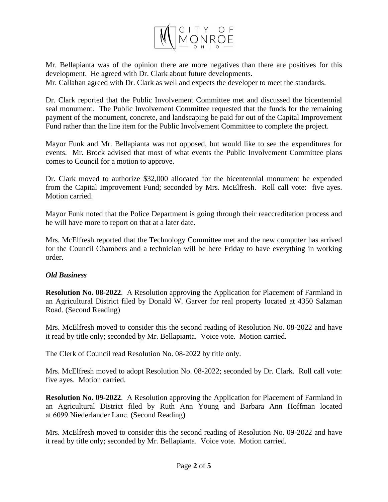

Mr. Bellapianta was of the opinion there are more negatives than there are positives for this development. He agreed with Dr. Clark about future developments.

Mr. Callahan agreed with Dr. Clark as well and expects the developer to meet the standards.

Dr. Clark reported that the Public Involvement Committee met and discussed the bicentennial seal monument. The Public Involvement Committee requested that the funds for the remaining payment of the monument, concrete, and landscaping be paid for out of the Capital Improvement Fund rather than the line item for the Public Involvement Committee to complete the project.

Mayor Funk and Mr. Bellapianta was not opposed, but would like to see the expenditures for events. Mr. Brock advised that most of what events the Public Involvement Committee plans comes to Council for a motion to approve.

Dr. Clark moved to authorize \$32,000 allocated for the bicentennial monument be expended from the Capital Improvement Fund; seconded by Mrs. McElfresh. Roll call vote: five ayes. Motion carried.

Mayor Funk noted that the Police Department is going through their reaccreditation process and he will have more to report on that at a later date.

Mrs. McElfresh reported that the Technology Committee met and the new computer has arrived for the Council Chambers and a technician will be here Friday to have everything in working order.

# *Old Business*

**Resolution No. 08-2022**. A Resolution approving the Application for Placement of Farmland in an Agricultural District filed by Donald W. Garver for real property located at 4350 Salzman Road. (Second Reading)

Mrs. McElfresh moved to consider this the second reading of Resolution No. 08-2022 and have it read by title only; seconded by Mr. Bellapianta. Voice vote. Motion carried.

The Clerk of Council read Resolution No. 08-2022 by title only.

Mrs. McElfresh moved to adopt Resolution No. 08-2022; seconded by Dr. Clark. Roll call vote: five ayes. Motion carried.

**Resolution No. 09-2022**. A Resolution approving the Application for Placement of Farmland in an Agricultural District filed by Ruth Ann Young and Barbara Ann Hoffman located at 6099 Niederlander Lane. (Second Reading)

Mrs. McElfresh moved to consider this the second reading of Resolution No. 09-2022 and have it read by title only; seconded by Mr. Bellapianta. Voice vote. Motion carried.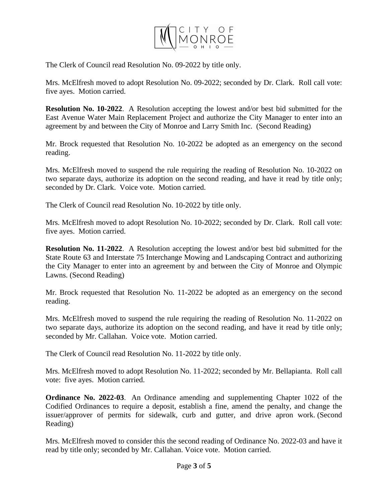

The Clerk of Council read Resolution No. 09-2022 by title only.

Mrs. McElfresh moved to adopt Resolution No. 09-2022; seconded by Dr. Clark. Roll call vote: five ayes. Motion carried.

**Resolution No. 10-2022**. A Resolution accepting the lowest and/or best bid submitted for the East Avenue Water Main Replacement Project and authorize the City Manager to enter into an agreement by and between the City of Monroe and Larry Smith Inc. (Second Reading)

Mr. Brock requested that Resolution No. 10-2022 be adopted as an emergency on the second reading.

Mrs. McElfresh moved to suspend the rule requiring the reading of Resolution No. 10-2022 on two separate days, authorize its adoption on the second reading, and have it read by title only; seconded by Dr. Clark. Voice vote. Motion carried.

The Clerk of Council read Resolution No. 10-2022 by title only.

Mrs. McElfresh moved to adopt Resolution No. 10-2022; seconded by Dr. Clark. Roll call vote: five ayes. Motion carried.

**Resolution No. 11-2022**. A Resolution accepting the lowest and/or best bid submitted for the State Route 63 and Interstate 75 Interchange Mowing and Landscaping Contract and authorizing the City Manager to enter into an agreement by and between the City of Monroe and Olympic Lawns. (Second Reading)

Mr. Brock requested that Resolution No. 11-2022 be adopted as an emergency on the second reading.

Mrs. McElfresh moved to suspend the rule requiring the reading of Resolution No. 11-2022 on two separate days, authorize its adoption on the second reading, and have it read by title only; seconded by Mr. Callahan. Voice vote. Motion carried.

The Clerk of Council read Resolution No. 11-2022 by title only.

Mrs. McElfresh moved to adopt Resolution No. 11-2022; seconded by Mr. Bellapianta. Roll call vote: five ayes. Motion carried.

**Ordinance No. 2022-03**. An Ordinance amending and supplementing Chapter 1022 of the Codified Ordinances to require a deposit, establish a fine, amend the penalty, and change the issuer/approver of permits for sidewalk, curb and gutter, and drive apron work. (Second Reading)

Mrs. McElfresh moved to consider this the second reading of Ordinance No. 2022-03 and have it read by title only; seconded by Mr. Callahan. Voice vote. Motion carried.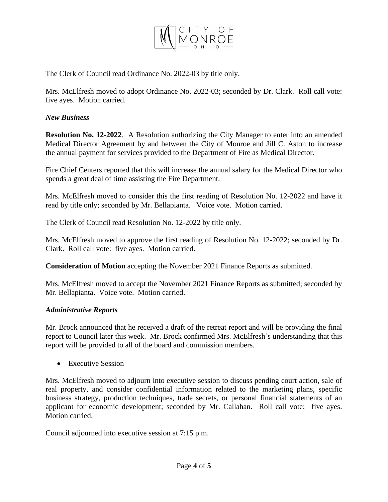

The Clerk of Council read Ordinance No. 2022-03 by title only.

Mrs. McElfresh moved to adopt Ordinance No. 2022-03; seconded by Dr. Clark. Roll call vote: five ayes. Motion carried.

# *New Business*

**Resolution No. 12-2022**. A Resolution authorizing the City Manager to enter into an amended Medical Director Agreement by and between the City of Monroe and Jill C. Aston to increase the annual payment for services provided to the Department of Fire as Medical Director.

Fire Chief Centers reported that this will increase the annual salary for the Medical Director who spends a great deal of time assisting the Fire Department.

Mrs. McElfresh moved to consider this the first reading of Resolution No. 12-2022 and have it read by title only; seconded by Mr. Bellapianta. Voice vote. Motion carried.

The Clerk of Council read Resolution No. 12-2022 by title only.

Mrs. McElfresh moved to approve the first reading of Resolution No. 12-2022; seconded by Dr. Clark. Roll call vote: five ayes. Motion carried.

**Consideration of Motion** accepting the November 2021 Finance Reports as submitted.

Mrs. McElfresh moved to accept the November 2021 Finance Reports as submitted; seconded by Mr. Bellapianta. Voice vote. Motion carried.

# *Administrative Reports*

Mr. Brock announced that he received a draft of the retreat report and will be providing the final report to Council later this week. Mr. Brock confirmed Mrs. McElfresh's understanding that this report will be provided to all of the board and commission members.

• Executive Session

Mrs. McElfresh moved to adjourn into executive session to discuss pending court action, sale of real property, and consider confidential information related to the marketing plans, specific business strategy, production techniques, trade secrets, or personal financial statements of an applicant for economic development; seconded by Mr. Callahan. Roll call vote: five ayes. Motion carried.

Council adjourned into executive session at 7:15 p.m.